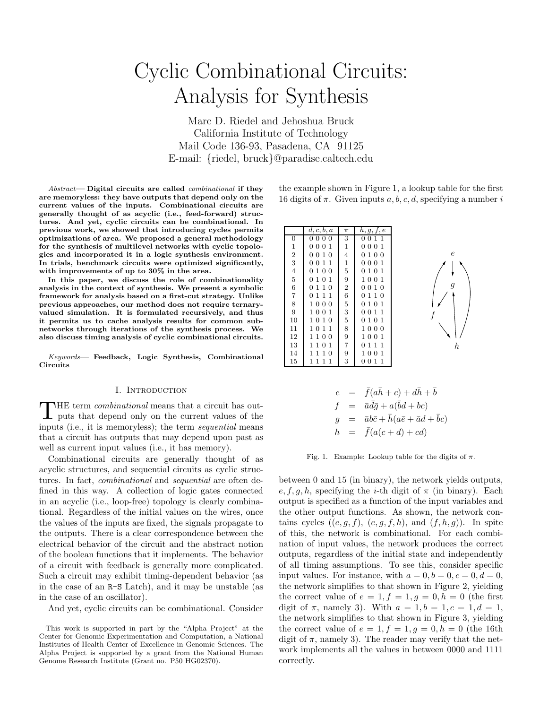# Cyclic Combinational Circuits: Analysis for Synthesis

Marc D. Riedel and Jehoshua Bruck California Institute of Technology Mail Code 136-93, Pasadena, CA 91125 E-mail: {riedel, bruck}@paradise.caltech.edu

Abstract— Digital circuits are called combinational if they are memoryless: they have outputs that depend only on the current values of the inputs. Combinational circuits are generally thought of as acyclic (i.e., feed-forward) structures. And yet, cyclic circuits can be combinational. In previous work, we showed that introducing cycles permits optimizations of area. We proposed a general methodology for the synthesis of multilevel networks with cyclic topologies and incorporated it in a logic synthesis environment. In trials, benchmark circuits were optimized significantly, with improvements of up to 30% in the area.

In this paper, we discuss the role of combinationality analysis in the context of synthesis. We present a symbolic framework for analysis based on a first-cut strategy. Unlike previous approaches, our method does not require ternaryvalued simulation. It is formulated recursively, and thus it permits us to cache analysis results for common subnetworks through iterations of the synthesis process. We also discuss timing analysis of cyclic combinational circuits.

Keywords— Feedback, Logic Synthesis, Combinational Circuits

# I. Introduction

THE term *combinational* means that a circuit has outputs that depend only on the current values of the THE term *combinational* means that a circuit has outinputs (i.e., it is memoryless); the term *sequential* means that a circuit has outputs that may depend upon past as well as current input values (i.e., it has memory).

Combinational circuits are generally thought of as acyclic structures, and sequential circuits as cyclic structures. In fact, combinational and sequential are often defined in this way. A collection of logic gates connected in an acyclic (i.e., loop-free) topology is clearly combinational. Regardless of the initial values on the wires, once the values of the inputs are fixed, the signals propagate to the outputs. There is a clear correspondence between the electrical behavior of the circuit and the abstract notion of the boolean functions that it implements. The behavior of a circuit with feedback is generally more complicated. Such a circuit may exhibit timing-dependent behavior (as in the case of an R-S Latch), and it may be unstable (as in the case of an oscillator).

And yet, cyclic circuits can be combinational. Consider

the example shown in Figure 1, a lookup table for the first 16 digits of  $\pi$ . Given inputs a, b, c, d, specifying a number i

|                   | d, c, b, a         | π              | h, g, f, e                  |                        |
|-------------------|--------------------|----------------|-----------------------------|------------------------|
| 0                 | 0000               | 3              | 0011                        |                        |
| $\mathbf 1$       | 0001               | 1              | 0001                        |                        |
| $\,2$             | 0010               | 4              | 100<br>0                    | $\epsilon$             |
| 3                 | 0011               | 1              | 0001                        | PSfrag replacements    |
| $\,4\,$           | 100<br>0           | 5              | 101<br>0                    | $\epsilon$             |
| $\bf 5$           | 101<br>0           | 9              | 1001                        | $\epsilon$<br>h        |
| $\,6$             | 110<br>0           | $\overline{2}$ | 0010                        | 9<br>$\boldsymbol{f}$  |
| $\scriptstyle{7}$ | 111<br>0           | 6              | 110<br>0                    | $\overline{g}$         |
| 8                 | 1000               | 5              | 0 1 0 1                     | $\boldsymbol{g}$<br> e |
| 9                 | 1001               | 3              | 011<br>0                    | $\mathfrak g$<br> h    |
| 10                | 1010               | 5              | 101<br>0                    |                        |
| 11                | 1011               | 8              | 1000                        |                        |
| 12                | 1100               | 9              | 1001                        |                        |
| 13                | 1101               | 7              | 111<br>0                    | h.                     |
| 14                | 10<br>$\mathbf{1}$ | 9              | 001<br>1.                   |                        |
| 15                | 1<br>1             | 3              | $\mathbf{1}$<br>1<br>0<br>0 |                        |

$$
e = \bar{f}(a\bar{h} + c) + d\bar{h} + \bar{b}
$$
  
\n
$$
f = \bar{a}d\bar{g} + a(\bar{b}d + bc)
$$
  
\n
$$
g = \bar{a}b\bar{c} + \bar{h}(a\bar{e} + \bar{a}d + \bar{b}c)
$$
  
\n
$$
h = \bar{f}(a(c + d) + cd)
$$

Fig. 1. Example: Lookup table for the digits of  $\pi$ .

between 0 and 15 (in binary), the network yields outputs,  $e, f, g, h$ , specifying the *i*-th digit of  $\pi$  (in binary). Each output is specified as a function of the input variables and the other output functions. As shown, the network contains cycles  $((e, g, f), (e, g, f, h), \text{ and } (f, h, g))$ . In spite of this, the network is combinational. For each combination of input values, the network produces the correct outputs, regardless of the initial state and independently of all timing assumptions. To see this, consider specific input values. For instance, with  $a = 0, b = 0, c = 0, d = 0$ , the network simplifies to that shown in Figure 2, yielding the correct value of  $e = 1, f = 1, g = 0, h = 0$  (the first digit of  $\pi$ , namely 3). With  $a = 1, b = 1, c = 1, d = 1$ , the network simplifies to that shown in Figure 3, yielding the correct value of  $e = 1, f = 1, g = 0, h = 0$  (the 16th digit of  $\pi$ , namely 3). The reader may verify that the network implements all the values in between 0000 and 1111 correctly.

This work is supported in part by the "Alpha Project" at the Center for Genomic Experimentation and Computation, a National Institutes of Health Center of Excellence in Genomic Sciences. The Alpha Project is supported by a grant from the National Human Genome Research Institute (Grant no. P50 HG02370).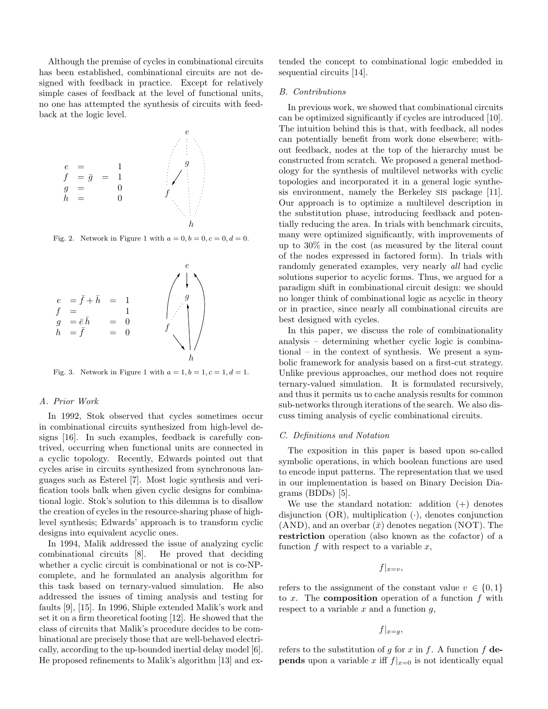Although the premise of cycles in combinational circuits has been established, combinational circuits are not designed with feedback in practice. Except for relatively simple cases of feedback at the level of functional units, no one has attempted the synthesis of circuits with feedback at the logic level.



Fig. 2. Network in Figure 1 with  $a = 0, b = 0, c = 0, d = 0$ .



Fig. 3. Network in Figure 1 with  $a = 1, b = 1, c = 1, d = 1$ .

## A. Prior Work

In 1992, Stok observed that cycles sometimes occur in combinational circuits synthesized from high-level designs [16]. In such examples, feedback is carefully contrived, occurring when functional units are connected in a cyclic topology. Recently, Edwards pointed out that cycles arise in circuits synthesized from synchronous languages such as Esterel [7]. Most logic synthesis and verification tools balk when given cyclic designs for combinational logic. Stok's solution to this dilemma is to disallow the creation of cycles in the resource-sharing phase of highlevel synthesis; Edwards' approach is to transform cyclic designs into equivalent acyclic ones.

In 1994, Malik addressed the issue of analyzing cyclic combinational circuits [8]. He proved that deciding whether a cyclic circuit is combinational or not is co-NPcomplete, and he formulated an analysis algorithm for this task based on ternary-valued simulation. He also addressed the issues of timing analysis and testing for faults [9], [15]. In 1996, Shiple extended Malik's work and set it on a firm theoretical footing [12]. He showed that the class of circuits that Malik's procedure decides to be combinational are precisely those that are well-behaved electrically, according to the up-bounded inertial delay model [6]. He proposed refinements to Malik's algorithm [13] and ex-

tended the concept to combinational logic embedded in sequential circuits [14].

#### B. Contributions

In previous work, we showed that combinational circuits can be optimized significantly if cycles are introduced [10]. The intuition behind this is that, with feedback, all nodes can potentially benefit from work done elsewhere; without feedback, nodes at the top of the hierarchy must be constructed from scratch. We proposed a general methodology for the synthesis of multilevel networks with cyclic topologies and incorporated it in a general logic synthesis environment, namely the Berkeley SIS package [11]. Our approach is to optimize a multilevel description in the substitution phase, introducing feedback and potentially reducing the area. In trials with benchmark circuits, many were optimized significantly, with improvements of up to 30% in the cost (as measured by the literal count of the nodes expressed in factored form). In trials with randomly generated examples, very nearly *all* had cyclic solutions superior to acyclic forms. Thus, we argued for a paradigm shift in combinational circuit design: we should no longer think of combinational logic as acyclic in theory or in practice, since nearly all combinational circuits are best designed with cycles.

In this paper, we discuss the role of combinationality analysis – determining whether cyclic logic is combinational – in the context of synthesis. We present a symbolic framework for analysis based on a first-cut strategy. Unlike previous approaches, our method does not require ternary-valued simulation. It is formulated recursively, and thus it permits us to cache analysis results for common sub-networks through iterations of the search. We also discuss timing analysis of cyclic combinational circuits.

#### C. Definitions and Notation

The exposition in this paper is based upon so-called symbolic operations, in which boolean functions are used to encode input patterns. The representation that we used in our implementation is based on Binary Decision Diagrams (BDDs) [5].

We use the standard notation: addition  $(+)$  denotes disjunction  $(OR)$ , multiplication  $(·)$ , denotes conjunction  $(AND)$ , and an overbar  $(\bar{x})$  denotes negation (NOT). The restriction operation (also known as the cofactor) of a function  $f$  with respect to a variable  $x$ ,

 $f|_{x=v}$ 

refers to the assignment of the constant value  $v \in \{0, 1\}$ to x. The **composition** operation of a function  $f$  with respect to a variable  $x$  and a function  $g$ ,

 $f|_{x=g}$ 

refers to the substitution of g for x in f. A function f de**pends** upon a variable x iff  $f|_{x=0}$  is not identically equal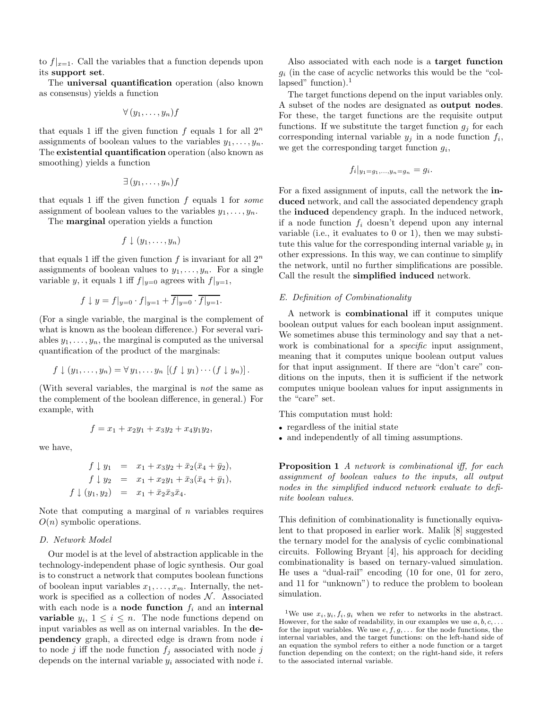to  $f|_{x=1}$ . Call the variables that a function depends upon its support set.

The universal quantification operation (also known as consensus) yields a function

$$
\forall (y_1,\ldots,y_n)f
$$

that equals 1 iff the given function  $f$  equals 1 for all  $2^n$ assignments of boolean values to the variables  $y_1, \ldots, y_n$ . The existential quantification operation (also known as smoothing) yields a function

$$
\exists (y_1,\ldots,y_n)f
$$

that equals 1 iff the given function  $f$  equals 1 for some assignment of boolean values to the variables  $y_1, \ldots, y_n$ .

The marginal operation yields a function

$$
f\downarrow (y_1,\ldots,y_n)
$$

that equals 1 iff the given function  $f$  is invariant for all  $2^n$ assignments of boolean values to  $y_1, \ldots, y_n$ . For a single variable y, it equals 1 iff  $f|_{y=0}$  agrees with  $f|_{y=1}$ ,

$$
f \downarrow y = f|_{y=0} \cdot f|_{y=1} + \overline{f|_{y=0}} \cdot \overline{f|_{y=1}}.
$$

(For a single variable, the marginal is the complement of what is known as the boolean difference.) For several variables  $y_1, \ldots, y_n$ , the marginal is computed as the universal quantification of the product of the marginals:

$$
f \downarrow (y_1,\ldots,y_n) = \forall y_1,\ldots y_n \left[ (f \downarrow y_1) \cdots (f \downarrow y_n) \right].
$$

(With several variables, the marginal is not the same as the complement of the boolean difference, in general.) For example, with

$$
f = x_1 + x_2y_1 + x_3y_2 + x_4y_1y_2,
$$

we have,

$$
f \downarrow y_1 = x_1 + x_3y_2 + \bar{x}_2(\bar{x}_4 + \bar{y}_2),
$$
  
\n
$$
f \downarrow y_2 = x_1 + x_2y_1 + \bar{x}_3(\bar{x}_4 + \bar{y}_1),
$$
  
\n
$$
f \downarrow (y_1, y_2) = x_1 + \bar{x}_2\bar{x}_3\bar{x}_4.
$$

Note that computing a marginal of  $n$  variables requires  $O(n)$  symbolic operations.

#### D. Network Model

Our model is at the level of abstraction applicable in the technology-independent phase of logic synthesis. Our goal is to construct a network that computes boolean functions of boolean input variables  $x_1, \ldots, x_m$ . Internally, the network is specified as a collection of nodes  $N$ . Associated with each node is a **node function**  $f_i$  and an **internal variable**  $y_i$ ,  $1 \leq i \leq n$ . The node functions depend on input variables as well as on internal variables. In the de**pendency** graph, a directed edge is drawn from node  $i$ to node j iff the node function  $f_j$  associated with node j depends on the internal variable  $y_i$  associated with node i.

Also associated with each node is a target function  $g_i$  (in the case of acyclic networks this would be the "collapsed" function).<sup>1</sup>

The target functions depend on the input variables only. A subset of the nodes are designated as output nodes. For these, the target functions are the requisite output functions. If we substitute the target function  $g_i$  for each corresponding internal variable  $y_j$  in a node function  $f_i$ , we get the corresponding target function  $g_i$ ,

$$
f_i|_{y_1=g_1,\ldots,y_n=g_n}=g_i.
$$

For a fixed assignment of inputs, call the network the induced network, and call the associated dependency graph the induced dependency graph. In the induced network, if a node function  $f_i$  doesn't depend upon any internal variable (i.e., it evaluates to 0 or 1), then we may substitute this value for the corresponding internal variable  $y_i$  in other expressions. In this way, we can continue to simplify the network, until no further simplifications are possible. Call the result the simplified induced network.

#### E. Definition of Combinationality

A network is combinational iff it computes unique boolean output values for each boolean input assignment. We sometimes abuse this terminology and say that a network is combinational for a *specific* input assignment, meaning that it computes unique boolean output values for that input assignment. If there are "don't care" conditions on the inputs, then it is sufficient if the network computes unique boolean values for input assignments in the "care" set.

This computation must hold:

- regardless of the initial state
- and independently of all timing assumptions.

**Proposition 1** A network is combinational iff, for each assignment of boolean values to the inputs, all output nodes in the simplified induced network evaluate to definite boolean values.

This definition of combinationality is functionally equivalent to that proposed in earlier work. Malik [8] suggested the ternary model for the analysis of cyclic combinational circuits. Following Bryant [4], his approach for deciding combinationality is based on ternary-valued simulation. He uses a "dual-rail" encoding (10 for one, 01 for zero, and 11 for "unknown") to reduce the problem to boolean simulation.

<sup>1</sup>We use  $x_i, y_i, f_i, g_i$  when we refer to networks in the abstract. However, for the sake of readability, in our examples we use  $a, b, c, \ldots$ for the input variables. We use  $e, f, g, \ldots$  for the node functions, the internal variables, and the target functions: on the left-hand side of an equation the symbol refers to either a node function or a target function depending on the context; on the right-hand side, it refers to the associated internal variable.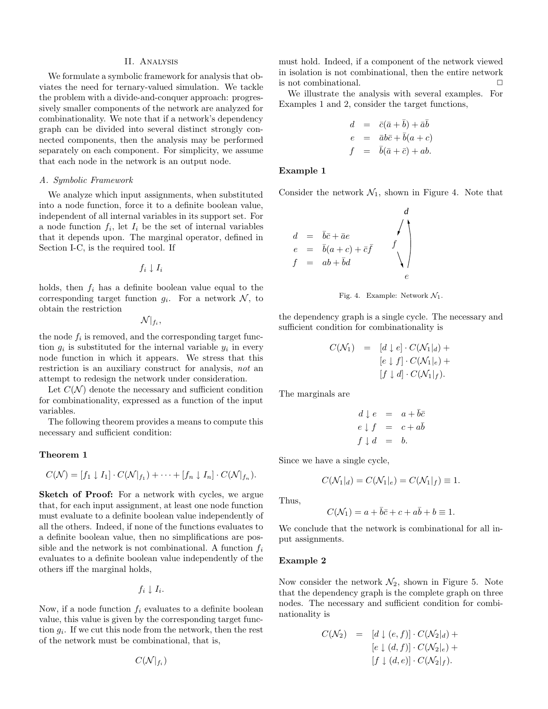#### II. Analysis

We formulate a symbolic framework for analysis that obviates the need for ternary-valued simulation. We tackle the problem with a divide-and-conquer approach: progressively smaller components of the network are analyzed for combinationality. We note that if a network's dependency graph can be divided into several distinct strongly connected components, then the analysis may be performed separately on each component. For simplicity, we assume that each node in the network is an output node.

#### A. Symbolic Framework

We analyze which input assignments, when substituted into a node function, force it to a definite boolean value, independent of all internal variables in its support set. For a node function  $f_i$ , let  $I_i$  be the set of internal variables that it depends upon. The marginal operator, defined in Section I-C, is the required tool. If

 $f_i \perp I_i$ 

holds, then  $f_i$  has a definite boolean value equal to the corresponding target function  $g_i$ . For a network  $\mathcal{N}$ , to obtain the restriction

 $\mathcal N|_{f_i},$ 

the node  $f_i$  is removed, and the corresponding target function  $g_i$  is substituted for the internal variable  $y_i$  in every node function in which it appears. We stress that this restriction is an auxiliary construct for analysis, not an attempt to redesign the network under consideration.

Let  $C(\mathcal{N})$  denote the necessary and sufficient condition for combinationality, expressed as a function of the input variables.

The following theorem provides a means to compute this necessary and sufficient condition:

# Theorem 1

$$
C(\mathcal{N}) = [f_1 \downarrow I_1] \cdot C(\mathcal{N}|_{f_1}) + \cdots + [f_n \downarrow I_n] \cdot C(\mathcal{N}|_{f_n}).
$$

Sketch of Proof: For a network with cycles, we argue that, for each input assignment, at least one node function must evaluate to a definite boolean value independently of all the others. Indeed, if none of the functions evaluates to a definite boolean value, then no simplifications are possible and the network is not combinational. A function  $f_i$ evaluates to a definite boolean value independently of the others iff the marginal holds,

 $f_i \downarrow I_i$ .

Now, if a node function  $f_i$  evaluates to a definite boolean value, this value is given by the corresponding target function  $g_i$ . If we cut this node from the network, then the rest of the network must be combinational, that is,

$$
C(\mathcal{N}|_{f_i})
$$

must hold. Indeed, if a component of the network viewed in isolation is not combinational, then the entire network is not combinational.

We illustrate the analysis with several examples. For Examples 1 and 2, consider the target functions,

$$
d = \bar{c}(\bar{a} + \bar{b}) + \bar{a}\bar{b}
$$
  
\n
$$
e = \bar{a}b\bar{c} + \bar{b}(a+c)
$$
  
\n
$$
f = \bar{b}(\bar{a} + \bar{c}) + ab.
$$

## Example 1

Consider the network  $\mathcal{R}_{1, e}^{\text{Riemann}}$  hown in Figure 4. Note that

$$
d = \bar{b}\bar{c} + \bar{a}e
$$
  
\n
$$
e = \bar{b}(a+c) + \bar{c}\bar{f}
$$
  
\n
$$
f = ab + \bar{b}d
$$
  
\n
$$
e = \begin{bmatrix} a+b \\ b \end{bmatrix}
$$
  
\n
$$
f = \begin{bmatrix} a \\ b \end{bmatrix}
$$
  
\n
$$
e = \begin{bmatrix} a \\ b \end{bmatrix}
$$
  
\n
$$
e = \begin{bmatrix} a \\ b \end{bmatrix}
$$
  
\n
$$
e = \begin{bmatrix} a \\ b \end{bmatrix}
$$
  
\n
$$
e = \begin{bmatrix} a \\ b \end{bmatrix}
$$
  
\n
$$
e = \begin{bmatrix} a \\ b \end{bmatrix}
$$
  
\n
$$
e = \begin{bmatrix} a \\ b \end{bmatrix}
$$
  
\n
$$
e = \begin{bmatrix} a \\ b \end{bmatrix}
$$
  
\n
$$
e = \begin{bmatrix} a \\ b \end{bmatrix}
$$
  
\n
$$
e = \begin{bmatrix} a \\ b \end{bmatrix}
$$
  
\n
$$
e = \begin{bmatrix} a \\ b \end{bmatrix}
$$
  
\n
$$
e = \begin{bmatrix} a \\ b \end{bmatrix}
$$
  
\n
$$
e = \begin{bmatrix} a \\ b \end{bmatrix}
$$
  
\n
$$
e = \begin{bmatrix} a \\ b \end{bmatrix}
$$
  
\n
$$
e = \begin{bmatrix} a \\ b \end{bmatrix}
$$
  
\n
$$
e = \begin{bmatrix} a \\ b \end{bmatrix}
$$
  
\n
$$
e = \begin{bmatrix} a \\ b \end{bmatrix}
$$
  
\n
$$
e = \begin{bmatrix} a \\ b \end{bmatrix}
$$
  
\n
$$
e = \begin{bmatrix} a \\ b \end{bmatrix}
$$
  
\n
$$
e = \begin{bmatrix} a \\ b \end{bmatrix}
$$
  
\n
$$
e = \begin{bmatrix} a \\ b \end{bmatrix}
$$
  
\n
$$
e = \begin{bmatrix} a \\ b \end{bmatrix}
$$
  
\n
$$
e = \begin{bmatrix} a \\ b \end{bmatrix}
$$
  
\n
$$
e = \
$$

Fig. 4. Example: Network  $\mathcal{N}_1$ .

the dependency graph is a single cycle. The necessary and sufficient condition for combinationality is

$$
C(\mathcal{N}_1) = [d \downarrow e] \cdot C(\mathcal{N}_1|_d) +
$$
  
\n
$$
[e \downarrow f] \cdot C(\mathcal{N}_1|_e) +
$$
  
\n
$$
[f \downarrow d] \cdot C(\mathcal{N}_1|_f).
$$

The marginals are

$$
d \downarrow e = a + \overline{b}\overline{c}
$$
  

$$
e \downarrow f = c + a\overline{b}
$$
  

$$
f \downarrow d = b.
$$

Since we have a single cycle,

$$
C(\mathcal{N}_1|_d) = C(\mathcal{N}_1|_e) = C(\mathcal{N}_1|_f) \equiv 1.
$$

Thus,

$$
C(\mathcal{N}_1) = a + \bar{b}\bar{c} + c + a\bar{b} + b \equiv 1.
$$

We conclude that the network is combinational for all input assignments.

# Example 2

Now consider the network  $\mathcal{N}_2$ , shown in Figure 5. Note that the dependency graph is the complete graph on three nodes. The necessary and sufficient condition for combinationality is

$$
C(\mathcal{N}_2) = [d \downarrow (e, f)] \cdot C(\mathcal{N}_2|_d) +
$$
  

$$
[e \downarrow (d, f)] \cdot C(\mathcal{N}_2|_e) +
$$
  

$$
[f \downarrow (d, e)] \cdot C(\mathcal{N}_2|_f).
$$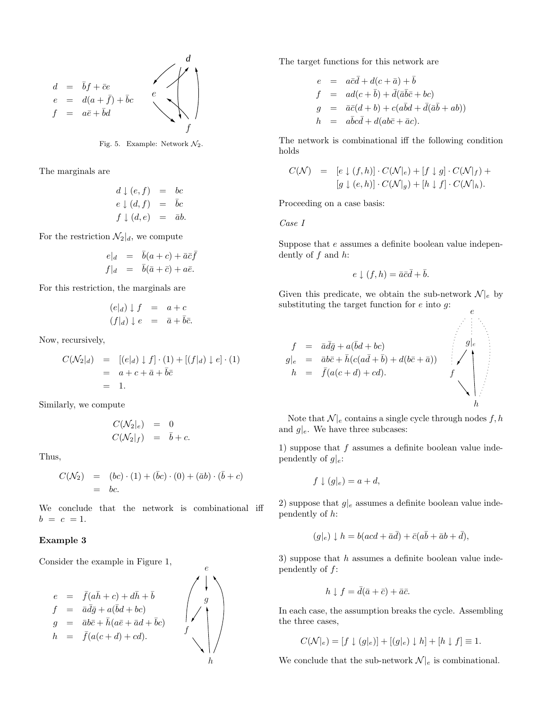

Fig. 5. Example: Network  $\mathcal{N}_2$ .

The marginals are

$$
d \downarrow (e, f) = bc
$$
  
\n
$$
e \downarrow (d, f) = \bar{b}c
$$
  
\n
$$
f \downarrow (d, e) = \bar{a}b.
$$

For the restriction  $\mathcal{N}_2|_d$ , we compute

$$
e|_d = \bar{b}(a+c) + \bar{a}\bar{c}\bar{f}
$$
  

$$
f|_d = \bar{b}(\bar{a}+\bar{c}) + a\bar{e}.
$$

For this restriction, the marginals are

$$
(e|_d) \downarrow f = a + c
$$
  

$$
(f|_d) \downarrow e = \bar{a} + \bar{b}\bar{c}.
$$

Now, recursively,

$$
C(\mathcal{N}_2|_d) = [(e|_d) \downarrow f] \cdot (1) + [(f|_d) \downarrow e] \cdot (1)
$$
  
=  $a + c + \overline{a} + \overline{b}\overline{c}$   
= 1.

Similarly, we compute

$$
C(\mathcal{N}_2|_e) = 0
$$
  

$$
C(\mathcal{N}_2|_f) = \bar{b} + c.
$$

Thus,

$$
C(\mathcal{N}_2) = (bc) \cdot (1) + (\bar{b}c) \cdot (0) + (\bar{a}b) \cdot (\bar{b} + c)
$$
  
= bc.

We conclude that the network is combinational iff  $b = c = 1.$ 

## Example 3

Consider the example in Figure 1,



The target functions for this network are

$$
e = a\bar{c}\bar{d} + d(c + \bar{a}) + \bar{b}
$$
  
\n
$$
f = ad(c + \bar{b}) + \bar{d}(\bar{a}\bar{b}\bar{c} + bc)
$$
  
\n
$$
g = \bar{a}\bar{c}(d + b) + c(a\bar{b}d + \bar{d}(\bar{a}\bar{b} + ab))
$$
  
\n
$$
h = a\bar{b}c\bar{d} + d(ab\bar{c} + \bar{a}c).
$$

The network is combinational iff the following condition holds

$$
C(\mathcal{N}) = [e \downarrow (f,h)] \cdot C(\mathcal{N}|_e) + [f \downarrow g] \cdot C(\mathcal{N}|_f) +
$$
  

$$
[g \downarrow (e,h)] \cdot C(\mathcal{N}|_g) + [h \downarrow f] \cdot C(\mathcal{N}|_h).
$$

Proceeding on a case basis:

Case I

Suppose that e assumes a definite boolean value independently of  $f$  and  $h$ :

$$
e \downarrow (f, h) = \bar{a}\bar{c}\bar{d} + \bar{b}.
$$

Given this predicate, we obtain the sub-network  $\mathcal{N}|_e$  by substituting the target function for  $e$  into  $g$ :

f = a¯ ¯dg¯ + a( ¯bd + bc) g|<sup>e</sup> = ab¯ c¯+ h¯(c(a ¯d + ¯b) + d(bc¯+ a¯)) h = ¯f(a(c + d) + cd). PSfrag replacements e|f e|<sup>h</sup> f|<sup>g</sup> g|<sup>e</sup> g|<sup>h</sup> h|<sup>f</sup> e f g h

Note that  $\mathcal{N}|_e$  contains a single cycle through nodes  $f, h$ and  $g|_e$ . We have three subcases:

1) suppose that  $f$  assumes a definite boolean value independently of  $g|_e$ :

$$
f \downarrow (g|_e) = a + d,
$$

2) suppose that  $g|_e$  assumes a definite boolean value independently of h:

$$
(g|_e) \downarrow h = b(acd + \bar{a}\bar{d}) + \bar{c}(a\bar{b} + \bar{a}b + \bar{d}),
$$

3) suppose that  $h$  assumes a definite boolean value independently of f:

$$
h \downarrow f = \bar{d}(\bar{a} + \bar{c}) + \bar{a}\bar{c}.
$$

In each case, the assumption breaks the cycle. Assembling the three cases,

$$
C(\mathcal{N}|_e) = [f \downarrow (g|_e)] + [(g|_e) \downarrow h] + [h \downarrow f] \equiv 1.
$$

We conclude that the sub-network  $\mathcal{N}|_e$  is combinational.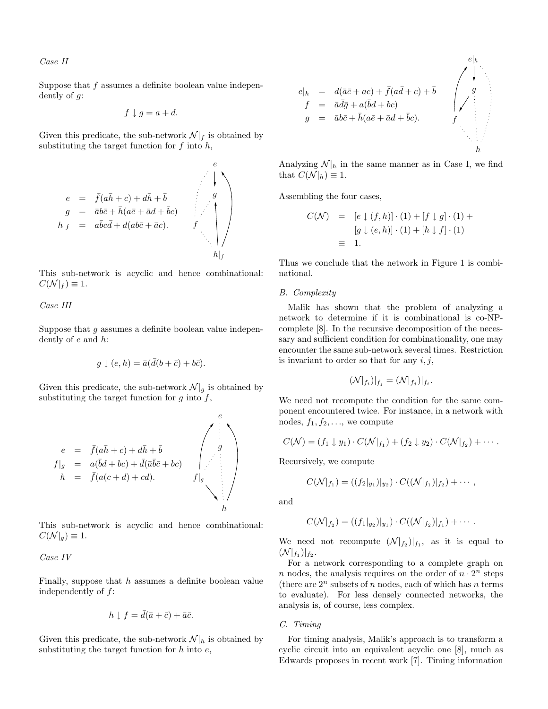# Case II

Suppose that f assumes a definite boolean value independently of g:

$$
f \downarrow g = a + d.
$$

Given this predicate, the sub-network  $\mathcal{N}|_f$  is obtained by substituting the target function for  $f$  into  $h$ ,



This sub-network is acyclic and hence combinational:  $C(\mathcal{N}|_f) \equiv 1.$ 

Case III

Suppose that  $g$  assumes a definite boolean value independently of e and h:

$$
g \downarrow (e, h) = \bar{a}(\bar{d}(b + \bar{c}) + b\bar{c}).
$$

Given this predicate, the sub-network  $\mathcal{N}|_g$  is obtained by substituting the target function for  $g$  into  $f$ ,



This sub-network is acyclic and hence combinational:  $C(\mathcal{N}|_q) \equiv 1.$ 

Case IV

Finally, suppose that  $h$  assumes a definite boolean value independently of f:

$$
h \downarrow f = \bar{d}(\bar{a} + \bar{c}) + \bar{a}\bar{c}.
$$

Given this predicate, the sub-network  $\mathcal{N}|_h$  is obtained by substituting the target function for  $h$  into  $e$ ,

$$
e|_{h} = d(\bar{a}\bar{c} + ac) + \bar{f}(a\bar{d} + c) + \bar{b} \int_{g} e|_{h}
$$
  
\n
$$
f = \bar{a}\bar{d}\bar{g} + a(\bar{b}d + bc) \int_{g|_{e}} g|_{h}
$$
  
\n
$$
g = \bar{a}b\bar{c} + \bar{h}(a\bar{e} + \bar{a}d + \bar{b}c).
$$
  
\n
$$
h|_{f}
$$
  
\n
$$
h
$$

Analyzing  $\mathcal{N}|_h$  in the same manner as in Case I, we find that  $C(\mathcal{N}|_h) \equiv 1$ .

Assembling the four cases,

$$
C(\mathcal{N}) = [e \downarrow (f, h)] \cdot (1) + [f \downarrow g] \cdot (1) +
$$

$$
[g \downarrow (e, h)] \cdot (1) + [h \downarrow f] \cdot (1)
$$

$$
\equiv 1.
$$

Thus we conclude that the network in Figure 1 is combinational.

#### B. Complexity

Malik has shown that the problem of analyzing a network to determine if it is combinational is co-NPcomplete [8]. In the recursive decomposition of the necessary and sufficient condition for combinationality, one may encounter the same sub-network several times. Restriction is invariant to order so that for any  $i, j$ ,

$$
(\mathcal{N}|_{f_i})|_{f_j} = (\mathcal{N}|_{f_j})|_{f_i}.
$$

We need not recompute the condition for the same component encountered twice. For instance, in a network with nodes,  $f_1, f_2, \ldots$ , we compute

$$
C(\mathcal{N}) = (f_1 \downarrow y_1) \cdot C(\mathcal{N}|_{f_1}) + (f_2 \downarrow y_2) \cdot C(\mathcal{N}|_{f_2}) + \cdots
$$

Recursively, we compute

$$
C(\mathcal{N}|_{f_1}) = ((f_2|_{y_1})|_{y_2}) \cdot C((\mathcal{N}|_{f_1})|_{f_2}) + \cdots,
$$

and

$$
C(\mathcal{N}|_{f_2}) = ((f_1|_{y_2})|_{y_1}) \cdot C((\mathcal{N}|_{f_2})|_{f_1}) + \cdots
$$

We need not recompute  $(N|_{f_2})|_{f_1}$ , as it is equal to  $({\cal N}|_{f_1})|_{f_2}.$ 

For a network corresponding to a complete graph on n nodes, the analysis requires on the order of  $n \cdot 2^n$  steps (there are  $2^n$  subsets of n nodes, each of which has n terms to evaluate). For less densely connected networks, the analysis is, of course, less complex.

# C. Timing

For timing analysis, Malik's approach is to transform a cyclic circuit into an equivalent acyclic one [8], much as Edwards proposes in recent work [7]. Timing information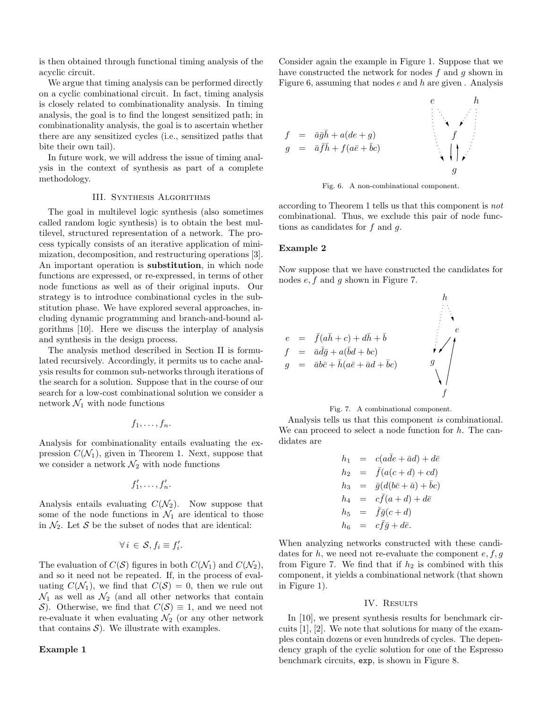is then obtained through functional timing analysis of the acyclic circuit.

We argue that timing analysis can be performed directly on a cyclic combinational circuit. In fact, timing analysis is closely related to combinationality analysis. In timing analysis, the goal is to find the longest sensitized path; in combinationality analysis, the goal is to ascertain whether there are any sensitized cycles (i.e., sensitized paths that bite their own tail).

In future work, we will address the issue of timing analysis in the context of synthesis as part of a complete methodology.

# III. Synthesis Algorithms

The goal in multilevel logic synthesis (also sometimes called random logic synthesis) is to obtain the best multilevel, structured representation of a network. The process typically consists of an iterative application of minimization, decomposition, and restructuring operations [3]. An important operation is substitution, in which node functions are expressed, or re-expressed, in terms of other node functions as well as of their original inputs. Our strategy is to introduce combinational cycles in the substitution phase. We have explored several approaches, including dynamic programming and branch-and-bound algorithms [10]. Here we discuss the interplay of analysis and synthesis in the design process.

The analysis method described in Section II is formulated recursively. Accordingly, it permits us to cache analysis results for common sub-networks through iterations of the search for a solution. Suppose that in the course of our search for a low-cost combinational solution we consider a network  $\mathcal{N}_1$  with node functions

$$
f_1,\ldots,f_n.
$$

Analysis for combinationality entails evaluating the expression  $C(\mathcal{N}_1)$ , given in Theorem 1. Next, suppose that we consider a network  $\mathcal{N}_2$  with node functions

$$
f'_1,\ldots,f'_n.
$$

Analysis entails evaluating  $C(\mathcal{N}_2)$ . Now suppose that some of the node functions in  $\mathcal{N}_1$  are identical to those in  $\mathcal{N}_2$ . Let S be the subset of nodes that are identical:

$$
\forall i \in \mathcal{S}, f_i \equiv f'_i.
$$

The evaluation of  $C(S)$  figures in both  $C(\mathcal{N}_1)$  and  $C(\mathcal{N}_2)$ , and so it need not be repeated. If, in the process of evaluating  $C(\mathcal{N}_1)$ , we find that  $C(\mathcal{S}) = 0$ , then we rule out  $\mathcal{N}_1$  as well as  $\mathcal{N}_2$  (and all other networks that contain S). Otherwise, we find that  $C(S) \equiv 1$ , and we need not re-evaluate it when evaluating  $\mathcal{N}_2$  (or any other network that contains  $S$ ). We illustrate with examples.

## Example 1

Consider again the example in Figure 1. Suppose that we have constructed the network for nodes  $f$  and  $q$  shown in Figure 6, assuming that nodes  $\epsilon$  and  $\ell$ <sub>if</sub> are given . Analysis



Fig. 6. A non-combinational component.

according to Theorem 1 tells us that this component is not combinational. Thus, we exclude this pair of node functions as candidates for  $f$  and  $g$ .

### Example 2

Now suppose that we have constructed the candidates for nodes  $e, f$  and  $g$  shown in Figure 7.





Analysis tells us that this component is combinational. We can proceed to select a node function for  $h$ . The candidates are

$$
h_1 = c(a\bar{d}e + \bar{a}d) + d\bar{e}
$$
  
\n
$$
h_2 = \bar{f}(a(c+d) + cd)
$$
  
\n
$$
h_3 = \bar{g}(d(b\bar{c} + \bar{a}) + \bar{b}c)
$$
  
\n
$$
h_4 = c\bar{f}(a+d) + d\bar{e}
$$
  
\n
$$
h_5 = \bar{f}\bar{g}(c+d)
$$
  
\n
$$
h_6 = c\bar{f}\bar{g} + d\bar{e}.
$$

When analyzing networks constructed with these candidates for h, we need not re-evaluate the component  $e, f, g$ from Figure 7. We find that if  $h_2$  is combined with this component, it yields a combinational network (that shown in Figure 1).

#### IV. RESULTS

In [10], we present synthesis results for benchmark circuits [1], [2]. We note that solutions for many of the examples contain dozens or even hundreds of cycles. The dependency graph of the cyclic solution for one of the Espresso benchmark circuits, exp, is shown in Figure 8.